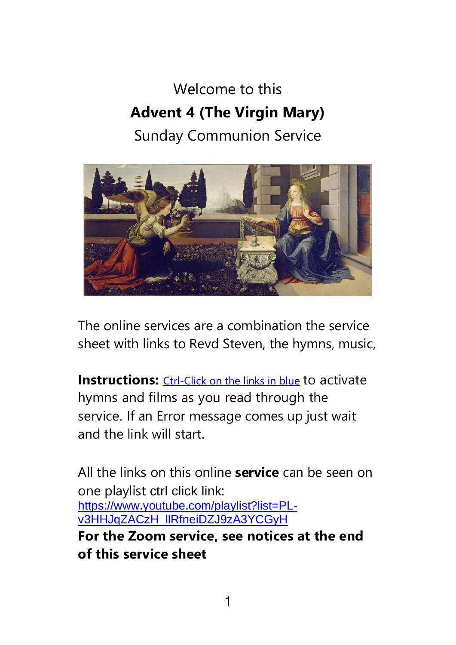# Welcome to this **Advent 4 (The Virgin Mary)**  Sunday Communion Service



The online services are a combination the service sheet with links to Revd Steven, the hymns, music,

**Instructions:** Ctrl-Click on the links in blue to activate hymns and films as you read through the service. If an Error message comes up just wait and the link will start.

All the links on this online **service** can be seen on one playlist ctrl click link: [https://www.youtube.com/playlist?list=PL](https://www.youtube.com/playlist?list=PL-v3HHJqZACzH_llRfneiDZJ9zA3YCGyH)[v3HHJqZACzH\\_llRfneiDZJ9zA3YCGyH](https://www.youtube.com/playlist?list=PL-v3HHJqZACzH_llRfneiDZJ9zA3YCGyH) **For the Zoom service, see notices at the end of this service sheet**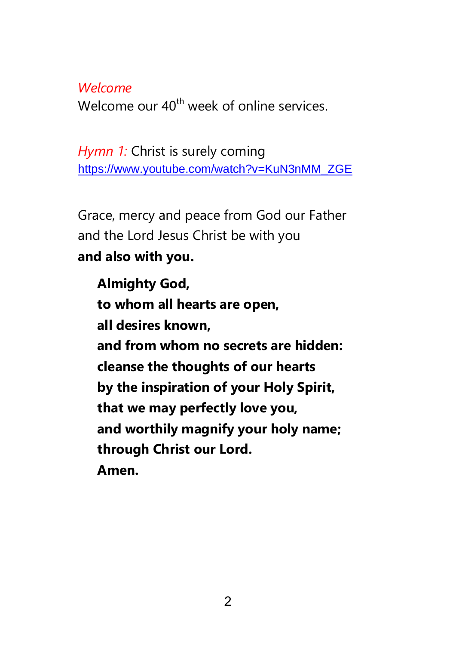### *Welcome*

Welcome our 40<sup>th</sup> week of online services.

*Hymn 1:* Christ is surely coming [https://www.youtube.com/watch?v=KuN3nMM\\_ZGE](https://www.youtube.com/watch?v=KuN3nMM_ZGE)

Grace, mercy and peace from God our Father and the Lord Jesus Christ be with you **and also with you.**

**Almighty God, to whom all hearts are open, all desires known, and from whom no secrets are hidden: cleanse the thoughts of our hearts by the inspiration of your Holy Spirit, that we may perfectly love you, and worthily magnify your holy name; through Christ our Lord. Amen.**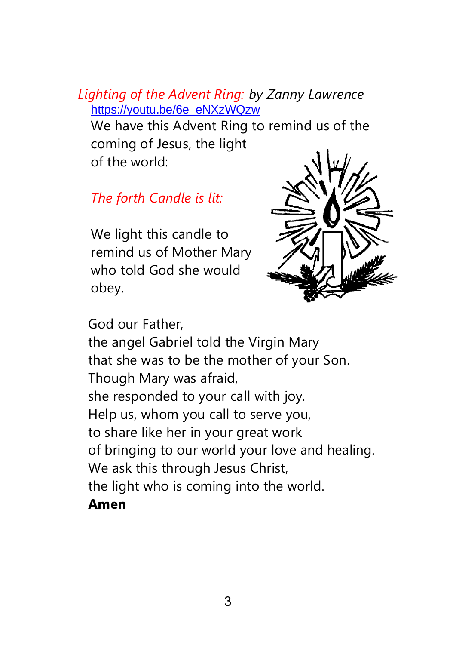### *Lighting of the Advent Ring: by Zanny Lawrence* [https://youtu.be/6e\\_eNXzWQzw](https://youtu.be/6e_eNXzWQzw)

We have this Advent Ring to remind us of the coming of Jesus, the light of the world:

*The forth Candle is lit:*

We light this candle to remind us of Mother Mary who told God she would obey.



God our Father,

the angel Gabriel told the Virgin Mary that she was to be the mother of your Son. Though Mary was afraid, she responded to your call with joy. Help us, whom you call to serve you, to share like her in your great work of bringing to our world your love and healing. We ask this through Jesus Christ, the light who is coming into the world. **Amen**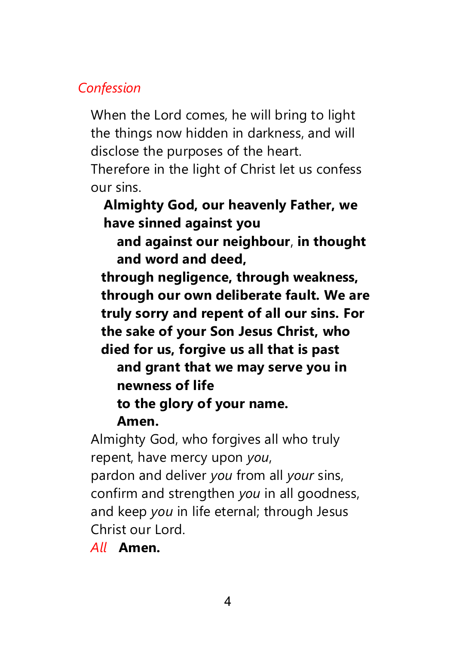### *Confession*

When the Lord comes, he will bring to light the things now hidden in darkness, and will disclose the purposes of the heart.

Therefore in the light of Christ let us confess our sins.

**Almighty God, our heavenly Father, we have sinned against you**

**and against our neighbour**, **in thought and word and deed,**

**through negligence, through weakness, through our own deliberate fault. We are truly sorry and repent of all our sins. For the sake of your Son Jesus Christ, who died for us, forgive us all that is past**

**and grant that we may serve you in newness of life**

**to the glory of your name.**

### **Amen.**

Almighty God, who forgives all who truly repent, have mercy upon *you*,

pardon and deliver *you* from all *your* sins, confirm and strengthen *you* in all goodness, and keep *you* in life eternal; through Jesus Christ our Lord.

*All* **Amen.**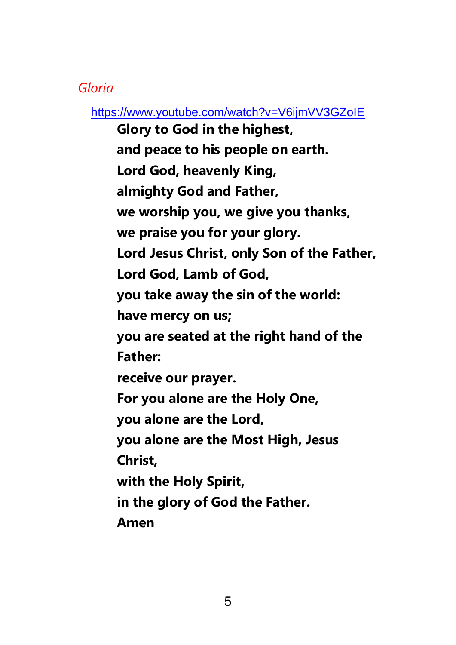### *Gloria*

<https://www.youtube.com/watch?v=V6ijmVV3GZoIE>

**Glory to God in the highest, and peace to his people on earth. Lord God, heavenly King, almighty God and Father, we worship you, we give you thanks, we praise you for your glory. Lord Jesus Christ, only Son of the Father, Lord God, Lamb of God, you take away the sin of the world: have mercy on us; you are seated at the right hand of the Father: receive our prayer. For you alone are the Holy One, you alone are the Lord, you alone are the Most High, Jesus Christ, with the Holy Spirit, in the glory of God the Father. Amen**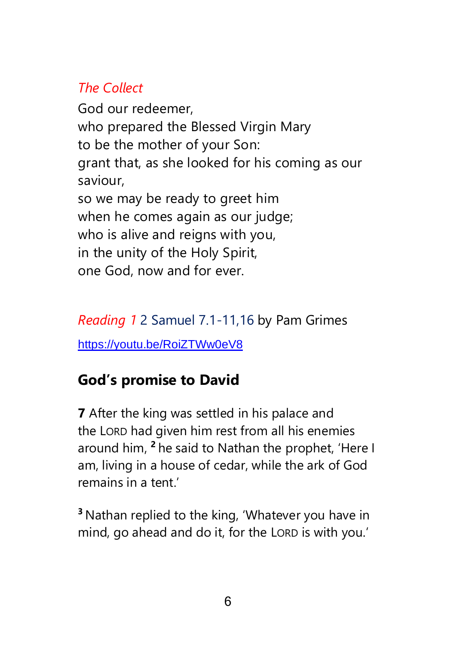## *The Collect*

God our redeemer, who prepared the Blessed Virgin Mary to be the mother of your Son: grant that, as she looked for his coming as our saviour, so we may be ready to greet him when he comes again as our judge; who is alive and reigns with you, in the unity of the Holy Spirit, one God, now and for ever.

## *Reading 1* 2 Samuel 7.1-11,16 by Pam Grimes

<https://youtu.be/RoiZTWw0eV8>

## **God's promise to David**

**7** After the king was settled in his palace and the LORD had given him rest from all his enemies around him, **<sup>2</sup>** he said to Nathan the prophet, 'Here I am, living in a house of cedar, while the ark of God remains in a tent.'

**<sup>3</sup>** Nathan replied to the king, 'Whatever you have in mind, go ahead and do it, for the LORD is with you.'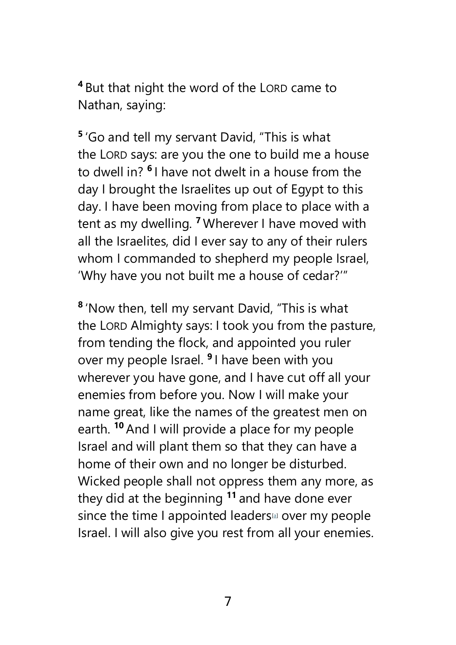**<sup>4</sup>** But that night the word of the LORD came to Nathan, saying:

**5** 'Go and tell my servant David, "This is what the LORD says: are you the one to build me a house to dwell in? **<sup>6</sup>** I have not dwelt in a house from the day I brought the Israelites up out of Egypt to this day. I have been moving from place to place with a tent as my dwelling. **<sup>7</sup>** Wherever I have moved with all the Israelites, did I ever say to any of their rulers whom I commanded to shepherd my people Israel, 'Why have you not built me a house of cedar?'"

**8** 'Now then, tell my servant David, "This is what the LORD Almighty says: I took you from the pasture, from tending the flock, and appointed you ruler over my people Israel. **<sup>9</sup>** I have been with you wherever you have gone, and I have cut off all your enemies from before you. Now I will make your name great, like the names of the greatest men on earth. **<sup>10</sup>** And I will provide a place for my people Israel and will plant them so that they can have a home of their own and no longer be disturbed. Wicked people shall not oppress them any more, as they did at the beginning **<sup>11</sup>** and have done ever since the time I appointed leaders<sup>[4]</sup> over my people Israel. I will also give you rest from all your enemies.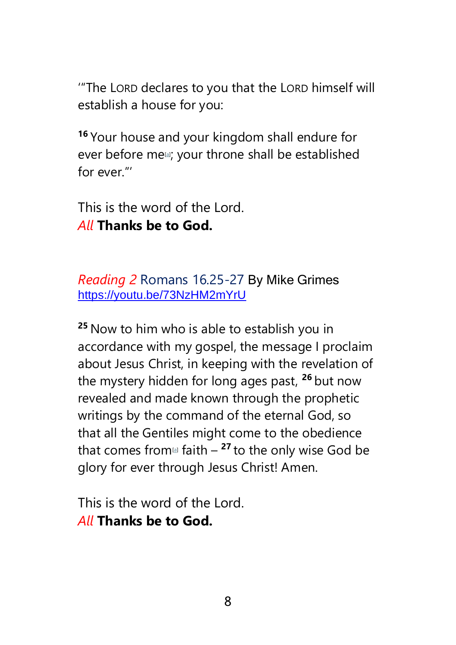'"The LORD declares to you that the LORD himself will establish a house for you:

**<sup>16</sup>** Your house and your kingdom shall endure for ever before me<sup>1</sup>; your throne shall be established for ever."'

This is the word of the Lord. *All* **Thanks be to God.**

*Reading 2* Romans 16.25-27 By Mike Grimes <https://youtu.be/73NzHM2mYrU>

**<sup>25</sup>** Now to him who is able to establish you in accordance with my gospel, the message I proclaim about Jesus Christ, in keeping with the revelation of the mystery hidden for long ages past, **<sup>26</sup>** but now revealed and made known through the prophetic writings by the command of the eternal God, so that all the Gentiles might come to the obedience that comes from $\mathbf{a}$  faith  $-$  <sup>27</sup> to the only wise God be glory for ever through Jesus Christ! Amen.

This is the word of the Lord. *All* **Thanks be to God.**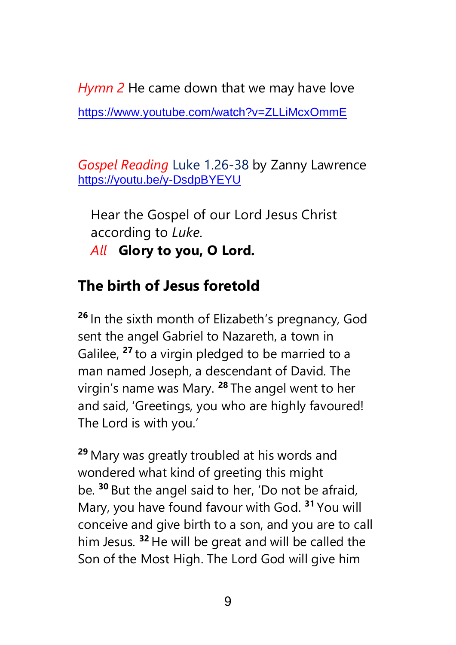*Hymn 2* He came down that we may have love <https://www.youtube.com/watch?v=ZLLiMcxOmmE>

*Gospel Reading* Luke 1.26-38 by Zanny Lawrence <https://youtu.be/y-DsdpBYEYU>

Hear the Gospel of our Lord Jesus Christ according to *Luke*.

*All* **Glory to you, O Lord.**

## **The birth of Jesus foretold**

**<sup>26</sup>** In the sixth month of Elizabeth's pregnancy, God sent the angel Gabriel to Nazareth, a town in Galilee, **<sup>27</sup>** to a virgin pledged to be married to a man named Joseph, a descendant of David. The virgin's name was Mary. **<sup>28</sup>** The angel went to her and said, 'Greetings, you who are highly favoured! The Lord is with you.'

**<sup>29</sup>** Mary was greatly troubled at his words and wondered what kind of greeting this might be. **<sup>30</sup>** But the angel said to her, 'Do not be afraid, Mary, you have found favour with God. **<sup>31</sup>** You will conceive and give birth to a son, and you are to call him Jesus. **<sup>32</sup>** He will be great and will be called the Son of the Most High. The Lord God will give him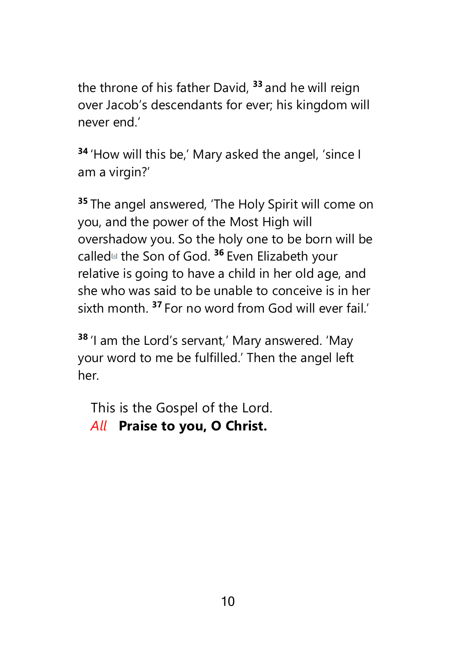the throne of his father David, **<sup>33</sup>** and he will reign over Jacob's descendants for ever; his kingdom will never end.'

**<sup>34</sup>** 'How will this be,' Mary asked the angel, 'since I am a virgin?'

**<sup>35</sup>** The angel answered, 'The Holy Spirit will come on you, and the power of the Most High will overshadow you. So the holy one to be born will be called[\[a\]](https://www.biblegateway.com/passage/?search=Luke+1.26-38&version=NIVUK#fen-NIVUK-24929a) the Son of God. **<sup>36</sup>** Even Elizabeth your relative is going to have a child in her old age, and she who was said to be unable to conceive is in her sixth month. **<sup>37</sup>** For no word from God will ever fail.'

**<sup>38</sup>** 'I am the Lord's servant,' Mary answered. 'May your word to me be fulfilled.' Then the angel left her.

This is the Gospel of the Lord. *All* **Praise to you, O Christ.**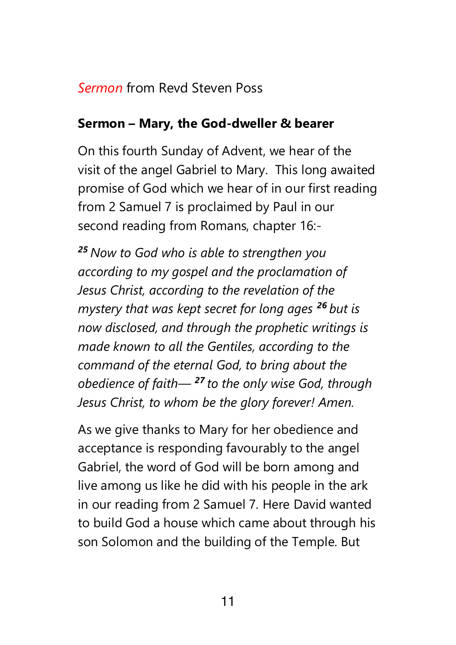### *Sermon* from Revd Steven Poss

### **Sermon – Mary, the God-dweller & bearer**

On this fourth Sunday of Advent, we hear of the visit of the angel Gabriel to Mary. This long awaited promise of God which we hear of in our first reading from 2 Samuel 7 is proclaimed by Paul in our second reading from Romans, chapter 16:-

*<sup>25</sup> Now to God who is able to strengthen you according to my gospel and the proclamation of Jesus Christ, according to the revelation of the mystery that was kept secret for long ages <sup>26</sup> but is now disclosed, and through the prophetic writings is made known to all the Gentiles, according to the command of the eternal God, to bring about the obedience of faith— <sup>27</sup> to the only wise God, through Jesus Christ, to whom be the glory forever! Amen.*

As we give thanks to Mary for her obedience and acceptance is responding favourably to the angel Gabriel, the word of God will be born among and live among us like he did with his people in the ark in our reading from 2 Samuel 7. Here David wanted to build God a house which came about through his son Solomon and the building of the Temple. But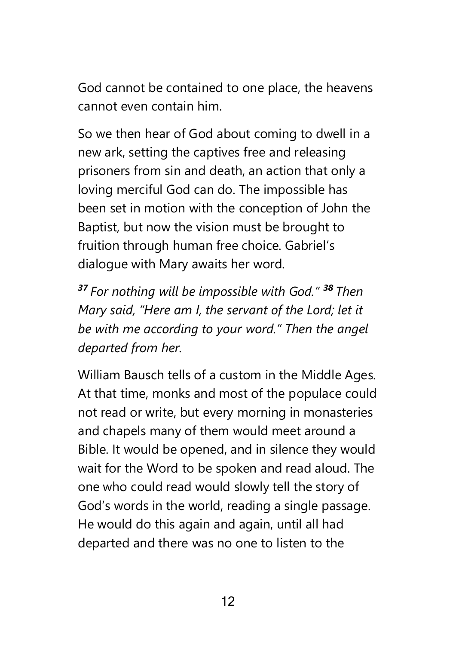God cannot be contained to one place, the heavens cannot even contain him.

So we then hear of God about coming to dwell in a new ark, setting the captives free and releasing prisoners from sin and death, an action that only a loving merciful God can do. The impossible has been set in motion with the conception of John the Baptist, but now the vision must be brought to fruition through human free choice. Gabriel's dialogue with Mary awaits her word.

*<sup>37</sup> For nothing will be impossible with God." <sup>38</sup> Then Mary said, "Here am I, the servant of the Lord; let it be with me according to your word." Then the angel departed from her.*

William Bausch tells of a custom in the Middle Ages. At that time, monks and most of the populace could not read or write, but every morning in monasteries and chapels many of them would meet around a Bible. It would be opened, and in silence they would wait for the Word to be spoken and read aloud. The one who could read would slowly tell the story of God's words in the world, reading a single passage. He would do this again and again, until all had departed and there was no one to listen to the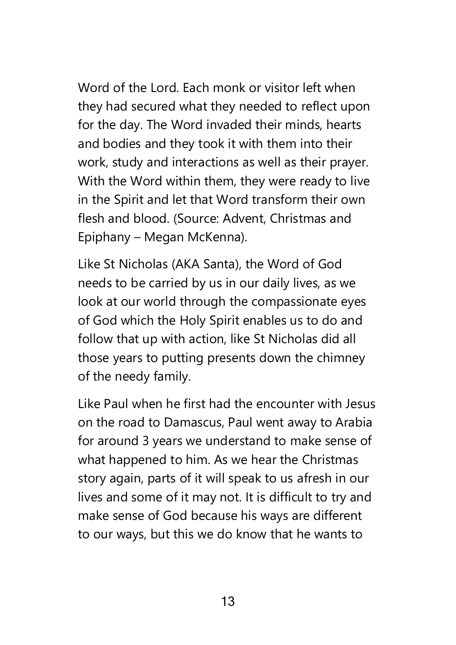Word of the Lord. Each monk or visitor left when they had secured what they needed to reflect upon for the day. The Word invaded their minds, hearts and bodies and they took it with them into their work, study and interactions as well as their prayer. With the Word within them, they were ready to live in the Spirit and let that Word transform their own flesh and blood. (Source: Advent, Christmas and Epiphany – Megan McKenna).

Like St Nicholas (AKA Santa), the Word of God needs to be carried by us in our daily lives, as we look at our world through the compassionate eyes of God which the Holy Spirit enables us to do and follow that up with action, like St Nicholas did all those years to putting presents down the chimney of the needy family.

Like Paul when he first had the encounter with Jesus on the road to Damascus, Paul went away to Arabia for around 3 years we understand to make sense of what happened to him. As we hear the Christmas story again, parts of it will speak to us afresh in our lives and some of it may not. It is difficult to try and make sense of God because his ways are different to our ways, but this we do know that he wants to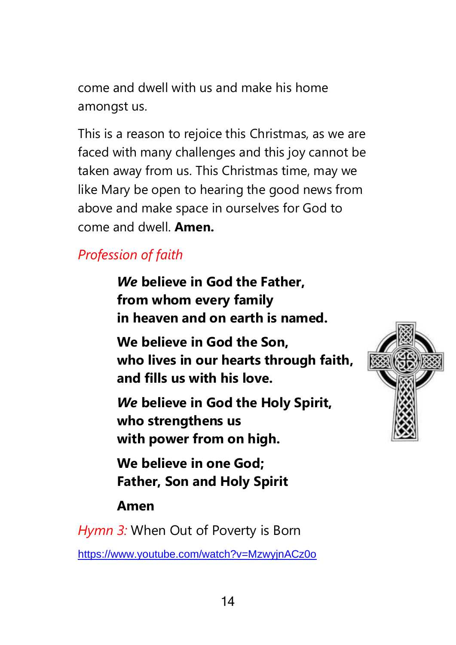come and dwell with us and make his home amongst us.

This is a reason to rejoice this Christmas, as we are faced with many challenges and this joy cannot be taken away from us. This Christmas time, may we like Mary be open to hearing the good news from above and make space in ourselves for God to come and dwell. **Amen.**

## *Profession of faith*

*We* **believe in God the Father, from whom every family in heaven and on earth is named.**

**We believe in God the Son, who lives in our hearts through faith, and fills us with his love.**

*We* **believe in God the Holy Spirit, who strengthens us with power from on high.**

**We believe in one God; Father, Son and Holy Spirit** 

### **Amen**

*Hymn 3:* When Out of Poverty is Born

<https://www.youtube.com/watch?v=MzwyjnACz0o>

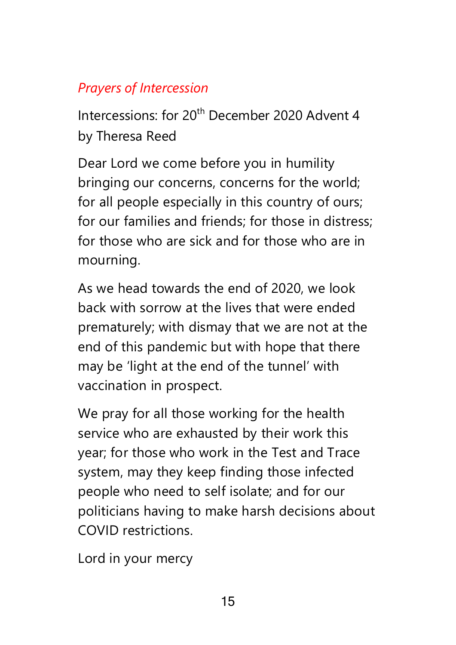## *Prayers of Intercession*

Intercessions: for 20<sup>th</sup> December 2020 Advent 4 by Theresa Reed

Dear Lord we come before you in humility bringing our concerns, concerns for the world; for all people especially in this country of ours; for our families and friends; for those in distress; for those who are sick and for those who are in mourning.

As we head towards the end of 2020, we look back with sorrow at the lives that were ended prematurely; with dismay that we are not at the end of this pandemic but with hope that there may be 'light at the end of the tunnel' with vaccination in prospect.

We pray for all those working for the health service who are exhausted by their work this year; for those who work in the Test and Trace system, may they keep finding those infected people who need to self isolate; and for our politicians having to make harsh decisions about COVID restrictions.

Lord in your mercy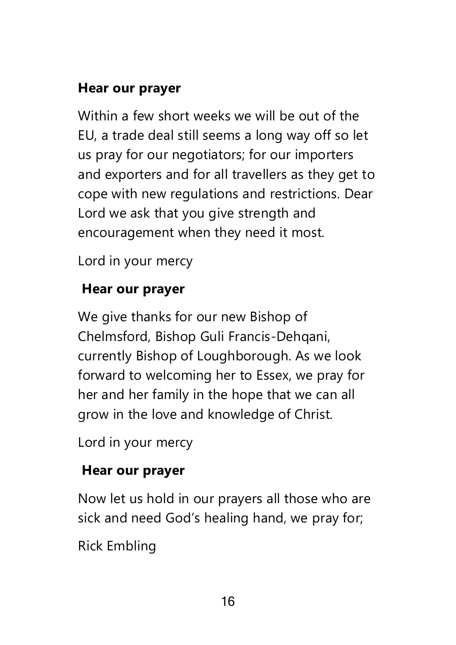### **Hear our prayer**

Within a few short weeks we will be out of the EU, a trade deal still seems a long way off so let us pray for our negotiators; for our importers and exporters and for all travellers as they get to cope with new regulations and restrictions. Dear Lord we ask that you give strength and encouragement when they need it most.

Lord in your mercy

## **Hear our prayer**

We give thanks for our new Bishop of Chelmsford, Bishop Guli Francis-Dehqani, currently Bishop of Loughborough. As we look forward to welcoming her to Essex, we pray for her and her family in the hope that we can all grow in the love and knowledge of Christ.

Lord in your mercy

## **Hear our prayer**

Now let us hold in our prayers all those who are sick and need God's healing hand, we pray for;

Rick Embling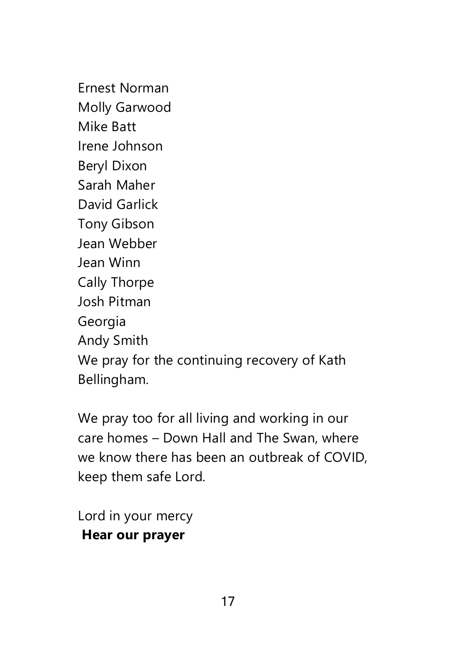Ernest Norman Molly Garwood Mike Batt Irene Johnson Beryl Dixon Sarah Maher David Garlick Tony Gibson Jean Webber Jean Winn Cally Thorpe Josh Pitman Georgia Andy Smith We pray for the continuing recovery of Kath Bellingham.

We pray too for all living and working in our care homes – Down Hall and The Swan, where we know there has been an outbreak of COVID, keep them safe Lord.

Lord in your mercy **Hear our prayer**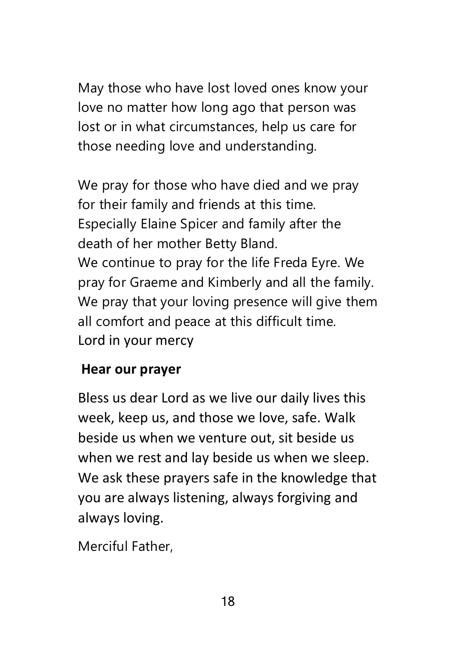May those who have lost loved ones know your love no matter how long ago that person was lost or in what circumstances, help us care for those needing love and understanding.

We pray for those who have died and we pray for their family and friends at this time. Especially Elaine Spicer and family after the death of her mother Betty Bland. We continue to pray for the life Freda Eyre. We pray for Graeme and Kimberly and all the family. We pray that your loving presence will give them all comfort and peace at this difficult time. Lord in your mercy

### **Hear our prayer**

Bless us dear Lord as we live our daily lives this week, keep us, and those we love, safe. Walk beside us when we venture out, sit beside us when we rest and lay beside us when we sleep. We ask these prayers safe in the knowledge that you are always listening, always forgiving and always loving.

Merciful Father,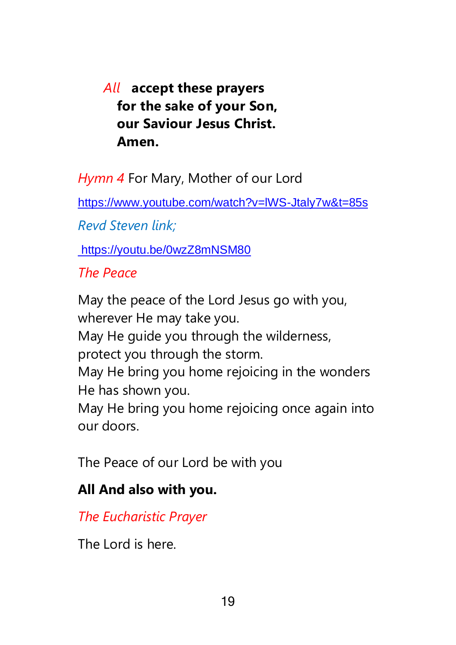## *All* **accept these prayers for the sake of your Son, our Saviour Jesus Christ. Amen.**

*Hymn 4* For Mary, Mother of our Lord

<https://www.youtube.com/watch?v=lWS-Jtaly7w&t=85s>

*Revd Steven link;*

<https://youtu.be/0wzZ8mNSM80>

### *The Peace*

May the peace of the Lord Jesus go with you, wherever He may take you. May He guide you through the wilderness, protect you through the storm. May He bring you home rejoicing in the wonders He has shown you. May He bring you home rejoicing once again into our doors.

The Peace of our Lord be with you

### **All And also with you.**

*The Eucharistic Prayer*

The Lord is here.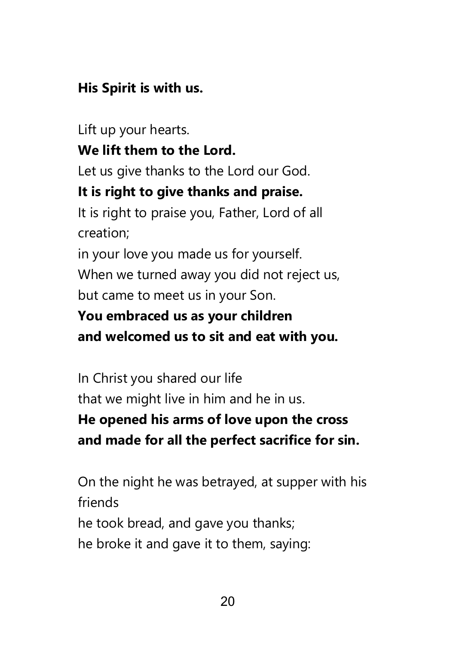## **His Spirit is with us.**

Lift up your hearts. **We lift them to the Lord.** Let us give thanks to the Lord our God. **It is right to give thanks and praise.** It is right to praise you, Father, Lord of all creation; in your love you made us for yourself. When we turned away you did not reject us, but came to meet us in your Son.

## **You embraced us as your children and welcomed us to sit and eat with you.**

In Christ you shared our life that we might live in him and he in us. **He opened his arms of love upon the cross and made for all the perfect sacrifice for sin.**

On the night he was betrayed, at supper with his friends he took bread, and gave you thanks; he broke it and gave it to them, saying: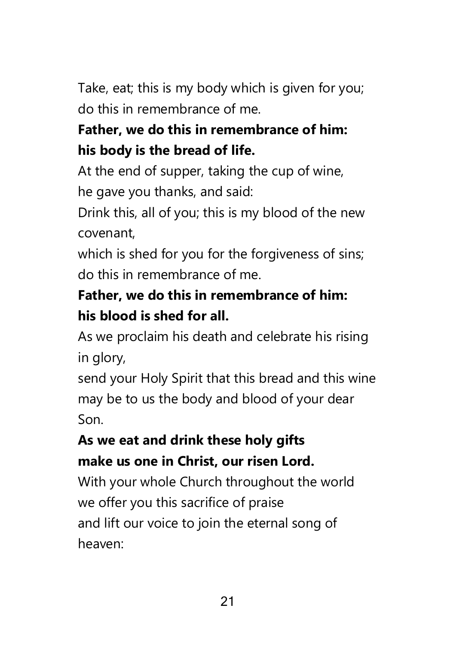Take, eat; this is my body which is given for you; do this in remembrance of me.

## **Father, we do this in remembrance of him: his body is the bread of life.**

At the end of supper, taking the cup of wine, he gave you thanks, and said:

Drink this, all of you; this is my blood of the new covenant,

which is shed for you for the forgiveness of sins; do this in remembrance of me.

## **Father, we do this in remembrance of him: his blood is shed for all.**

As we proclaim his death and celebrate his rising in glory,

send your Holy Spirit that this bread and this wine may be to us the body and blood of your dear Son.

## **As we eat and drink these holy gifts make us one in Christ, our risen Lord.**

With your whole Church throughout the world we offer you this sacrifice of praise and lift our voice to join the eternal song of heaven: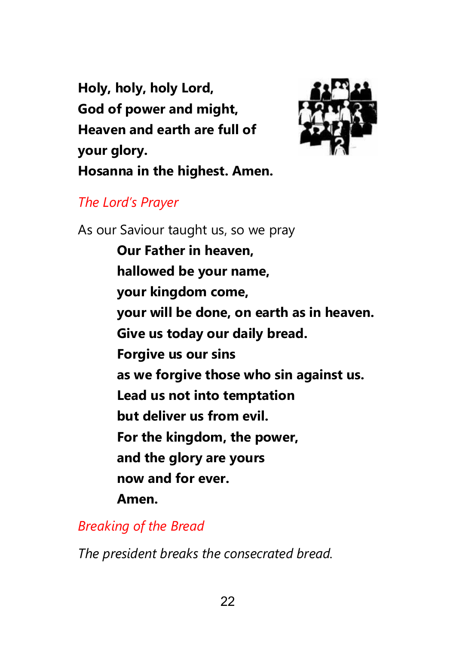**Holy, holy, holy Lord, God of power and might, Heaven and earth are full of your glory. Hosanna in the highest. Amen.**



### *The Lord's Prayer*

As our Saviour taught us, so we pray **Our Father in heaven, hallowed be your name, your kingdom come, your will be done, on earth as in heaven. Give us today our daily bread. Forgive us our sins as we forgive those who sin against us. Lead us not into temptation but deliver us from evil. For the kingdom, the power, and the glory are yours now and for ever. Amen.**

*Breaking of the Bread*

*The president breaks the consecrated bread.*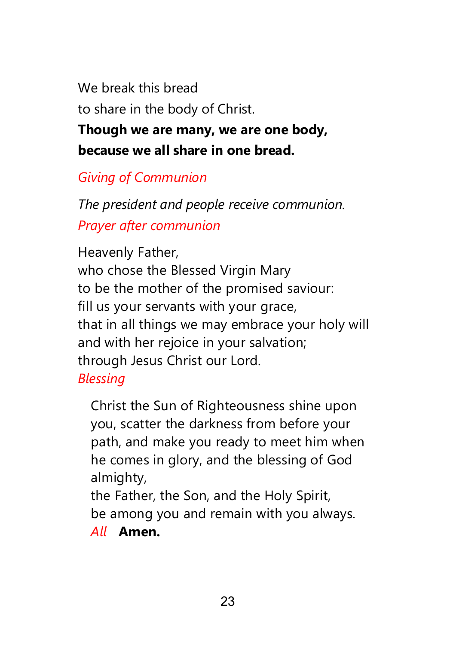We break this bread to share in the body of Christ.

**Though we are many, we are one body, because we all share in one bread.**

*Giving of Communion*

*The president and people receive communion. Prayer after communion*

Heavenly Father, who chose the Blessed Virgin Mary to be the mother of the promised saviour: fill us your servants with your grace, that in all things we may embrace your holy will and with her rejoice in your salvation; through Jesus Christ our Lord. *Blessing*

Christ the Sun of Righteousness shine upon you, scatter the darkness from before your path, and make you ready to meet him when he comes in glory, and the blessing of God almighty,

the Father, the Son, and the Holy Spirit, be among you and remain with you always.

*All* **Amen.**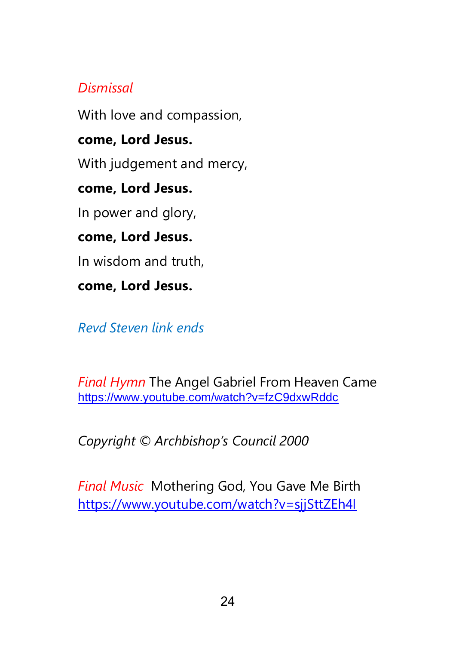### *Dismissal*

With love and compassion,

### **come, Lord Jesus.**

With judgement and mercy,

### **come, Lord Jesus.**

In power and glory,

### **come, Lord Jesus.**

In wisdom and truth,

### **come, Lord Jesus.**

*Revd Steven link ends*

*Final Hymn* The Angel Gabriel From Heaven Came <https://www.youtube.com/watch?v=fzC9dxwRddc>

*Copyright © Archbishop's Council 2000*

*Final Music* Mothering God, You Gave Me Birth <https://www.youtube.com/watch?v=sjjSttZEh4I>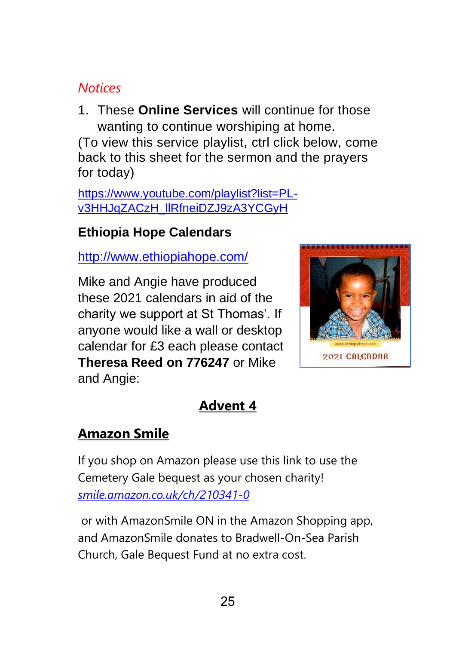### *Notices*

1. These **Online Services** will continue for those wanting to continue worshiping at home.

(To view this service playlist, ctrl click below, come back to this sheet for the sermon and the prayers for today)

[https://www.youtube.com/playlist?list=PL](https://www.youtube.com/playlist?list=PL-v3HHJqZACzH_llRfneiDZJ9zA3YCGyH)[v3HHJqZACzH\\_llRfneiDZJ9zA3YCGyH](https://www.youtube.com/playlist?list=PL-v3HHJqZACzH_llRfneiDZJ9zA3YCGyH)

### **Ethiopia Hope Calendars**

<http://www.ethiopiahope.com/>

Mike and Angie have produced these 2021 calendars in aid of the charity we support at St Thomas'. If anyone would like a wall or desktop calendar for £3 each please contact **Theresa Reed on 776247** or Mike and Angie:



## **Advent 4**

### **Amazon Smile**

If you shop on Amazon please use this link to use the Cemetery Gale bequest as your chosen charity! *[smile.amazon.co.uk/ch/210341-0](https://www.amazon.co.uk/gp/f.html?C=2VU7EQUPB3HNX&K=36GC1OZ0PEOXW&M=urn:rtn:msg:20201116131842fdef9738b88547dfab137a859750p0eu&R=RC9NH8F9BZE7&T=C&U=http%3A%2F%2FSMILE.AMAZON.CO.UK%2Fch%2F210341-0%3Fref%3Dorg_em_bf20_cl2_csmi&H=HGQU6RUJI0CCMO3SYOIHCRKI6AYA)*

or with AmazonSmile ON in the Amazon Shopping app, and AmazonSmile donates to Bradwell-On-Sea Parish Church, Gale Bequest Fund at no extra cost.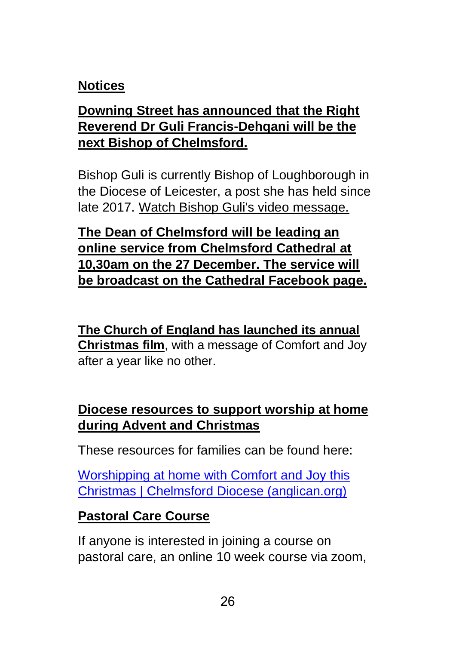### **Notices**

### **Downing Street has announced that the Right Reverend Dr Guli Francis-Dehqani will be the next Bishop of Chelmsford.**

Bishop Guli is currently Bishop of Loughborough in the Diocese of Leicester, a post she has held since late 2017. [Watch Bishop Guli's video message.](https://emea01.safelinks.protection.outlook.com/?url=https%3A%2F%2Fanglican.us7.list-manage.com%2Ftrack%2Fclick%3Fu%3D3ee1f9cb35d751b908bd79a83%26id%3D35e6982c7d%26e%3De7133df4b9&data=04%7C01%7C%7Cd0eeec6cf4284ff78b9b08d8a272e315%7C84df9e7fe9f640afb435aaaaaaaaaaaa%7C1%7C0%7C637437961606374671%7CUnknown%7CTWFpbGZsb3d8eyJWIjoiMC4wLjAwMDAiLCJQIjoiV2luMzIiLCJBTiI6Ik1haWwiLCJXVCI6Mn0%3D%7C1000&sdata=7%2FiRO8NFxMe%2BlAXmHyuCg%2BHrdQAVciaycxL4SslYGmo%3D&reserved=0)

**The Dean of Chelmsford will be leading an online service from Chelmsford Cathedral at 10,30am on the 27 December. The service will be broadcast on the Cathedral Facebook page.**

**[The Church of England has launched its annual](https://emea01.safelinks.protection.outlook.com/?url=https%3A%2F%2Fanglican.us7.list-manage.com%2Ftrack%2Fclick%3Fu%3D3ee1f9cb35d751b908bd79a83%26id%3D8242b61d90%26e%3De7133df4b9&data=04%7C01%7C%7C252c4378223d4d3bec0c08d8a1298c3a%7C84df9e7fe9f640afb435aaaaaaaaaaaa%7C1%7C0%7C637436547108624391%7CUnknown%7CTWFpbGZsb3d8eyJWIjoiMC4wLjAwMDAiLCJQIjoiV2luMzIiLCJBTiI6Ik1haWwiLCJXVCI6Mn0%3D%7C1000&sdata=EpTvN9sPUqUEtc16YpF%2BjasXliLOf1VIseTDEwNk9%2Bw%3D&reserved=0)  [Christmas film](https://emea01.safelinks.protection.outlook.com/?url=https%3A%2F%2Fanglican.us7.list-manage.com%2Ftrack%2Fclick%3Fu%3D3ee1f9cb35d751b908bd79a83%26id%3D8242b61d90%26e%3De7133df4b9&data=04%7C01%7C%7C252c4378223d4d3bec0c08d8a1298c3a%7C84df9e7fe9f640afb435aaaaaaaaaaaa%7C1%7C0%7C637436547108624391%7CUnknown%7CTWFpbGZsb3d8eyJWIjoiMC4wLjAwMDAiLCJQIjoiV2luMzIiLCJBTiI6Ik1haWwiLCJXVCI6Mn0%3D%7C1000&sdata=EpTvN9sPUqUEtc16YpF%2BjasXliLOf1VIseTDEwNk9%2Bw%3D&reserved=0)**, with a message of Comfort and Joy after a year like no other.

### **Diocese resources to support worship at home during Advent and Christmas**

These resources for families can be found here:

[Worshipping at home with Comfort and Joy this](https://www.chelmsford.anglican.org/comfort-and-joy-at-home)  [Christmas | Chelmsford Diocese \(anglican.org\)](https://www.chelmsford.anglican.org/comfort-and-joy-at-home)

### **Pastoral Care Course**

If anyone is interested in joining a course on pastoral care, an online 10 week course via zoom,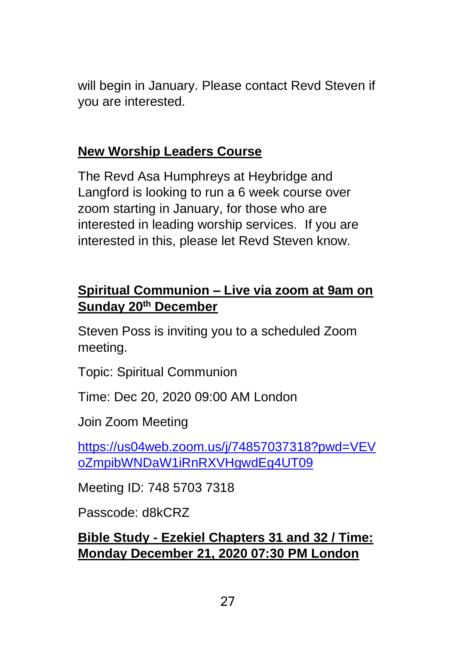will begin in January. Please contact Revd Steven if you are interested.

### **New Worship Leaders Course**

The Revd Asa Humphreys at Heybridge and Langford is looking to run a 6 week course over zoom starting in January, for those who are interested in leading worship services. If you are interested in this, please let Revd Steven know.

### **Spiritual Communion – Live via zoom at 9am on Sunday 20th December**

Steven Poss is inviting you to a scheduled Zoom meeting.

Topic: Spiritual Communion

Time: Dec 20, 2020 09:00 AM London

Join Zoom Meeting

[https://us04web.zoom.us/j/74857037318?pwd=VEV](https://us04web.zoom.us/j/74857037318?pwd=VEVoZmpibWNDaW1iRnRXVHgwdEg4UT09) [oZmpibWNDaW1iRnRXVHgwdEg4UT09](https://us04web.zoom.us/j/74857037318?pwd=VEVoZmpibWNDaW1iRnRXVHgwdEg4UT09)

Meeting ID: 748 5703 7318

Passcode: d8kCRZ

### **Bible Study - Ezekiel Chapters 31 and 32 / Time: Monday December 21, 2020 07:30 PM London**